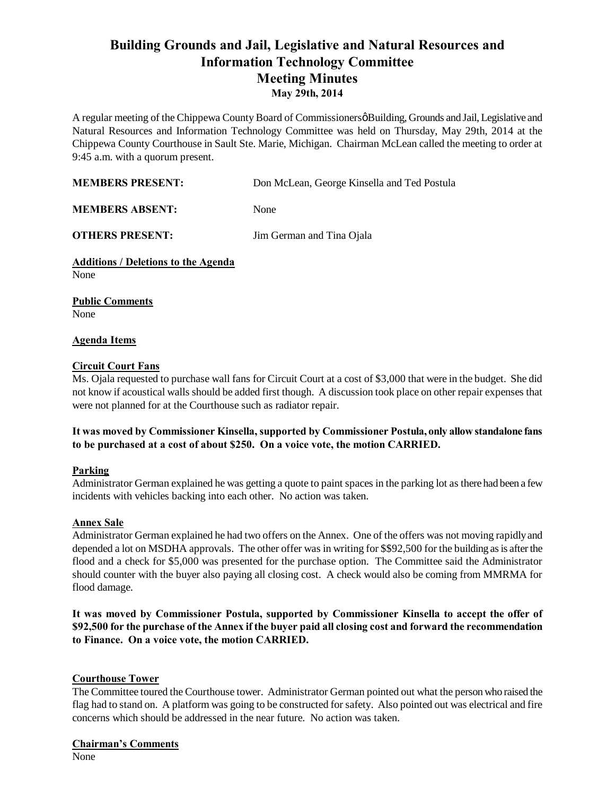# **Building Grounds and Jail, Legislative and Natural Resources and Information Technology Committee Meeting Minutes May 29th, 2014**

A regular meeting of the Chippewa County Board of Commissioners & Building, Grounds and Jail, Legislative and Natural Resources and Information Technology Committee was held on Thursday, May 29th, 2014 at the Chippewa County Courthouse in Sault Ste. Marie, Michigan. Chairman McLean called the meeting to order at 9:45 a.m. with a quorum present.

| <b>MEMBERS PRESENT:</b> | Don McLean, George Kinsella and Ted Postula |
|-------------------------|---------------------------------------------|
|                         |                                             |

**MEMBERS ABSENT:** None

**OTHERS PRESENT:** Jim German and Tina Ojala

**Additions / Deletions to the Agenda** None

**Public Comments** None

## **Agenda Items**

## **Circuit Court Fans**

Ms. Ojala requested to purchase wall fans for Circuit Court at a cost of \$3,000 that were in the budget. She did not know if acoustical walls should be added first though. A discussion took place on other repair expenses that were not planned for at the Courthouse such as radiator repair.

## **It was moved by Commissioner Kinsella, supported by Commissioner Postula, only allow standalone fans to be purchased at a cost of about \$250. On a voice vote, the motion CARRIED.**

# **Parking**

Administrator German explained he was getting a quote to paint spaces in the parking lot as there had been a few incidents with vehicles backing into each other. No action was taken.

#### **Annex Sale**

Administrator German explained he had two offers on the Annex. One of the offers was not moving rapidly and depended a lot on MSDHA approvals. The other offer was in writing for \$\$92,500 for the building as is after the flood and a check for \$5,000 was presented for the purchase option. The Committee said the Administrator should counter with the buyer also paying all closing cost. A check would also be coming from MMRMA for flood damage.

**It was moved by Commissioner Postula, supported by Commissioner Kinsella to accept the offer of \$92,500 for the purchase of the Annex if the buyer paid all closing cost and forward the recommendation to Finance. On a voice vote, the motion CARRIED.**

# **Courthouse Tower**

The Committee toured the Courthouse tower. Administrator German pointed out what the person who raised the flag had to stand on. A platform was going to be constructed for safety. Also pointed out was electrical and fire concerns which should be addressed in the near future. No action was taken.

#### **Chairman's Comments**

None